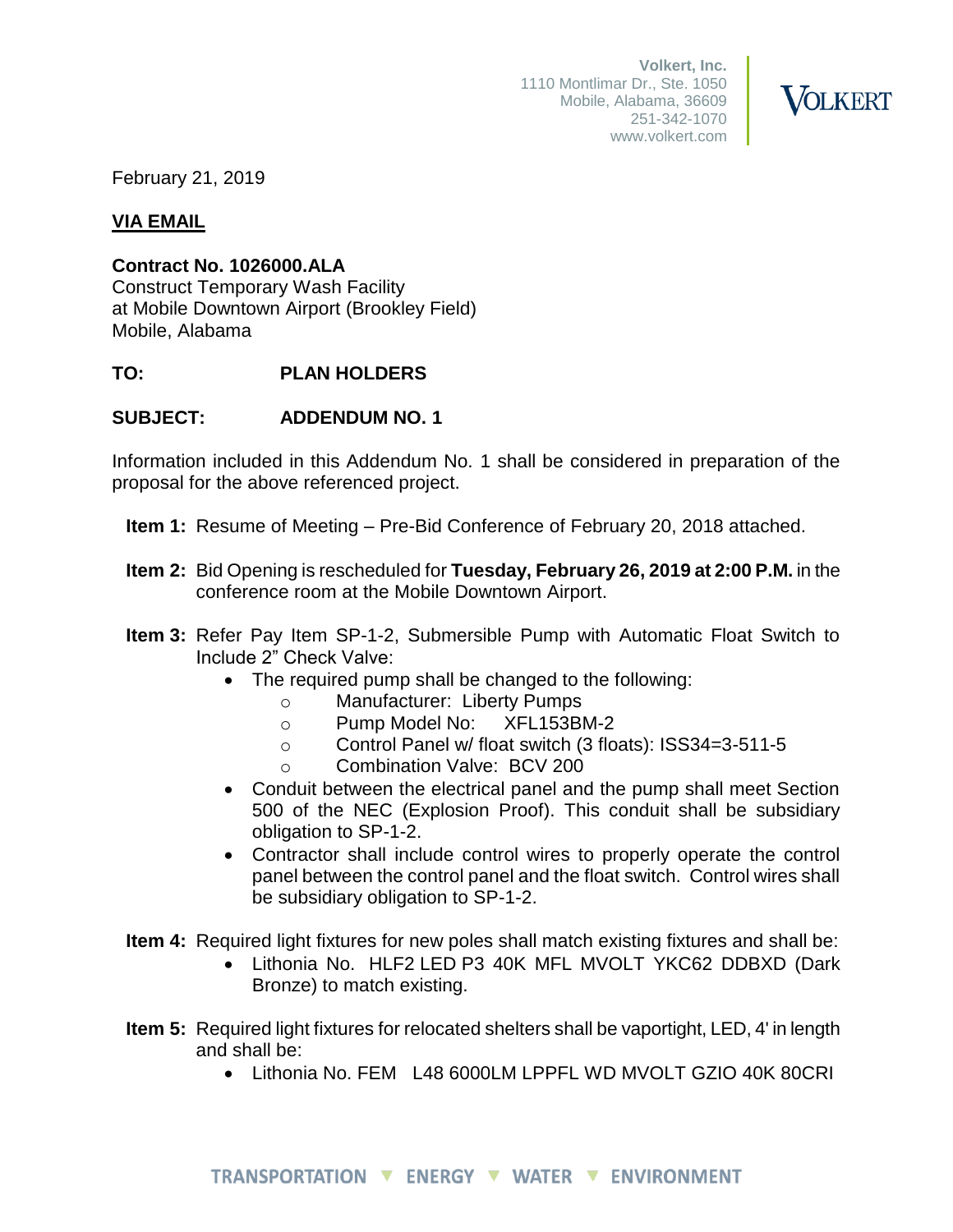**Volkert, Inc.** 1110 Montlimar Dr., Ste. 1050 Mobile, Alabama, 36609 251-342-1070 www.volkert.com



February 21, 2019

# **VIA EMAIL**

## **Contract No. 1026000.ALA**

Construct Temporary Wash Facility at Mobile Downtown Airport (Brookley Field) Mobile, Alabama

# **TO: PLAN HOLDERS**

# **SUBJECT: ADDENDUM NO. 1**

Information included in this Addendum No. 1 shall be considered in preparation of the proposal for the above referenced project.

- **Item 1:** Resume of Meeting Pre-Bid Conference of February 20, 2018 attached.
- **Item 2:** Bid Opening is rescheduled for **Tuesday, February 26, 2019 at 2:00 P.M.** in the conference room at the Mobile Downtown Airport.
- **Item 3:** Refer Pay Item SP-1-2, Submersible Pump with Automatic Float Switch to Include 2" Check Valve:
	- The required pump shall be changed to the following:
		- o Manufacturer: Liberty Pumps
		- o Pump Model No: XFL153BM-2
		- o Control Panel w/ float switch (3 floats): ISS34=3-511-5
		- o Combination Valve: BCV 200
	- Conduit between the electrical panel and the pump shall meet Section 500 of the NEC (Explosion Proof). This conduit shall be subsidiary obligation to SP-1-2.
	- Contractor shall include control wires to properly operate the control panel between the control panel and the float switch. Control wires shall be subsidiary obligation to SP-1-2.
- **Item 4:** Required light fixtures for new poles shall match existing fixtures and shall be:
	- Lithonia No. HLF2 LED P3 40K MFL MVOLT YKC62 DDBXD (Dark Bronze) to match existing.
- **Item 5:** Required light fixtures for relocated shelters shall be vaportight, LED, 4' in length and shall be:
	- Lithonia No. FEM L48 6000LM LPPFL WD MVOLT GZIO 40K 80CRI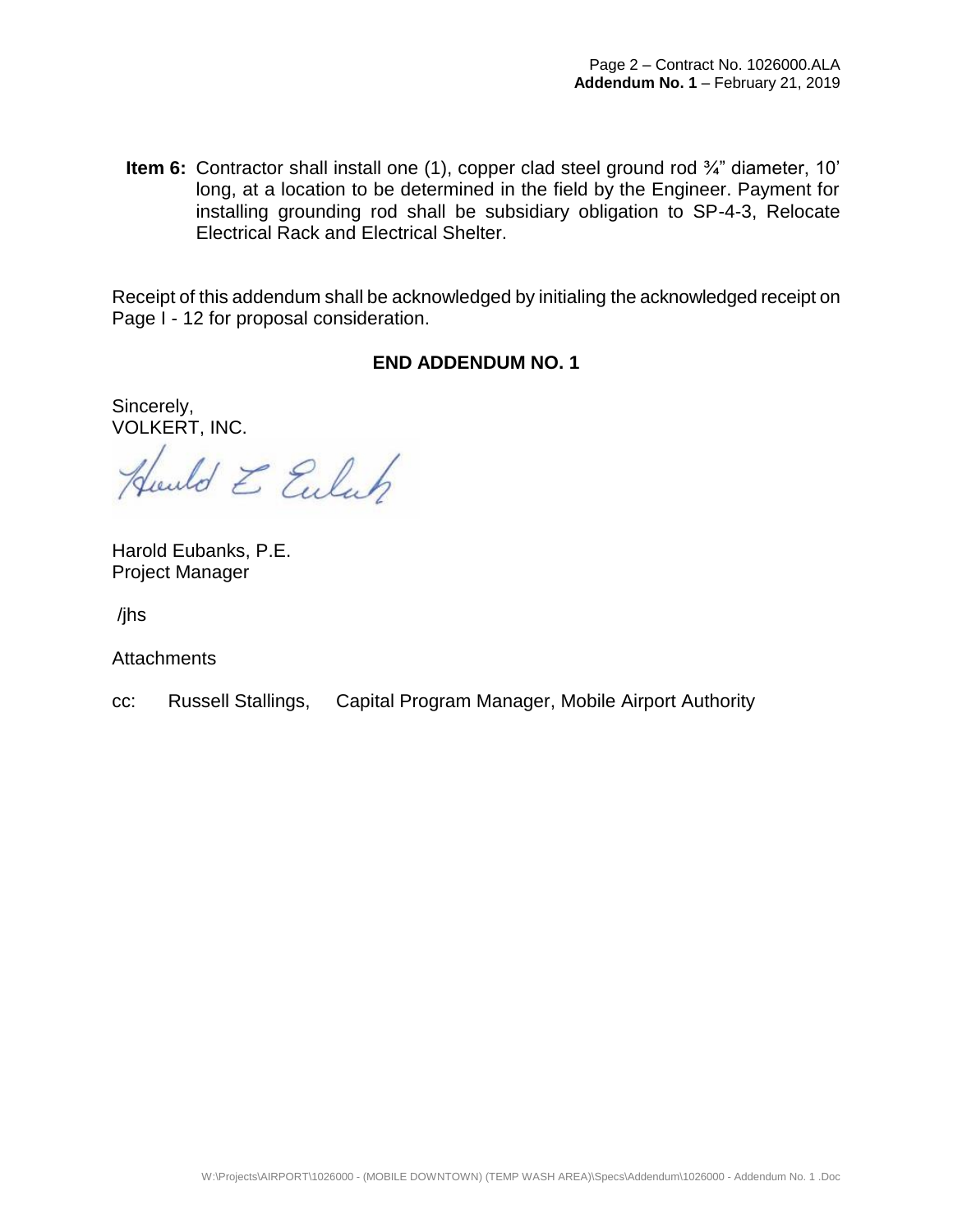**Item 6:** Contractor shall install one (1), copper clad steel ground rod ¾" diameter, 10' long, at a location to be determined in the field by the Engineer. Payment for installing grounding rod shall be subsidiary obligation to SP-4-3, Relocate Electrical Rack and Electrical Shelter.

Receipt of this addendum shall be acknowledged by initialing the acknowledged receipt on Page I - 12 for proposal consideration.

### **END ADDENDUM NO. 1**

Sincerely, VOLKERT, INC.

Juned E Eulah

Harold Eubanks, P.E. Project Manager

/jhs

**Attachments** 

cc: Russell Stallings, Capital Program Manager, Mobile Airport Authority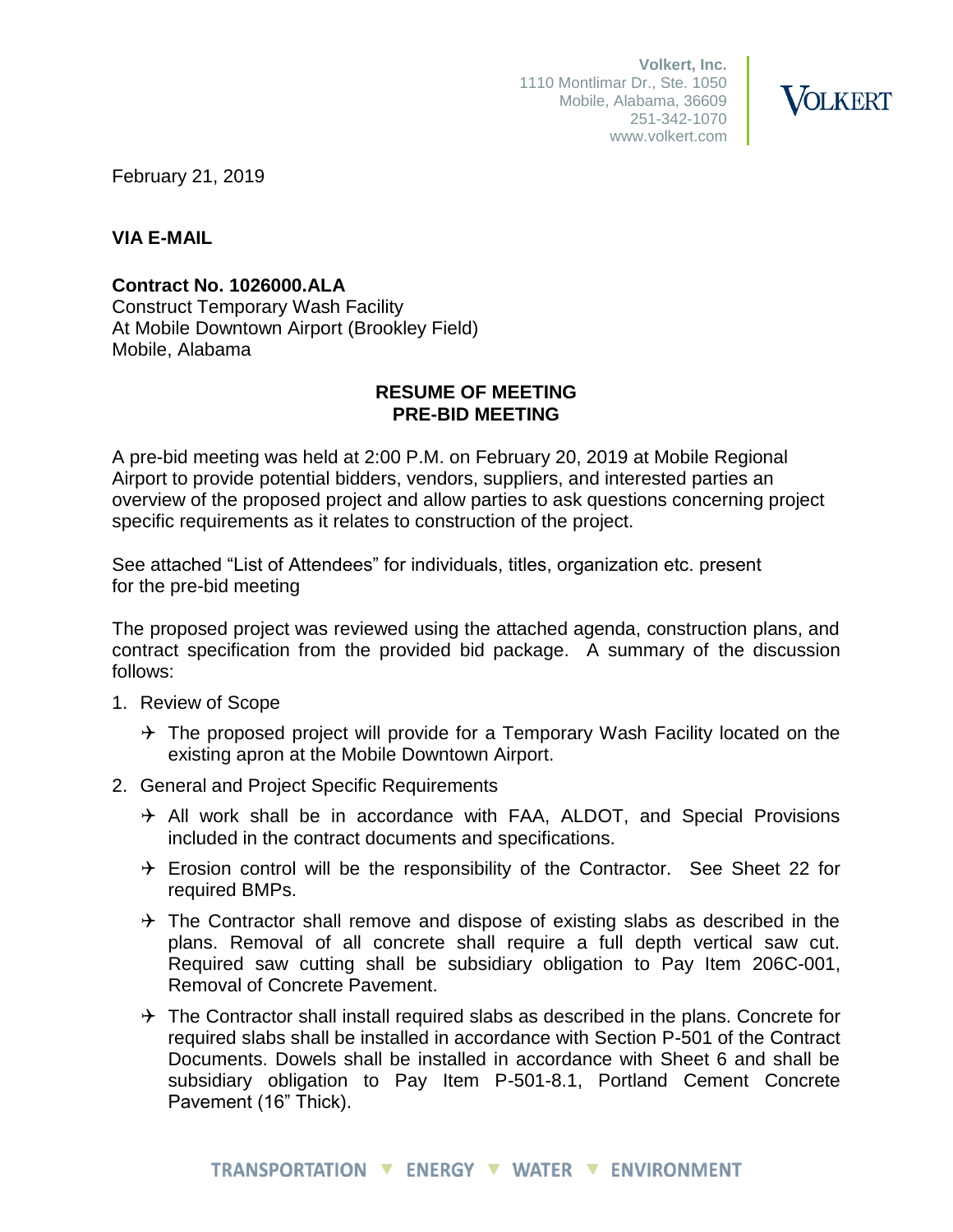**Volkert, Inc.** 1110 Montlimar Dr., Ste. 1050 Mobile, Alabama, 36609 251-342-1070 www.volkert.com



February 21, 2019

### **VIA E-MAIL**

**Contract No. 1026000.ALA**

Construct Temporary Wash Facility At Mobile Downtown Airport (Brookley Field) Mobile, Alabama

### **RESUME OF MEETING PRE-BID MEETING**

A pre-bid meeting was held at 2:00 P.M. on February 20, 2019 at Mobile Regional Airport to provide potential bidders, vendors, suppliers, and interested parties an overview of the proposed project and allow parties to ask questions concerning project specific requirements as it relates to construction of the project.

See attached "List of Attendees" for individuals, titles, organization etc. present for the pre-bid meeting

The proposed project was reviewed using the attached agenda, construction plans, and contract specification from the provided bid package. A summary of the discussion follows:

- 1. Review of Scope
	- $\rightarrow$  The proposed project will provide for a Temporary Wash Facility located on the existing apron at the Mobile Downtown Airport.
- 2. General and Project Specific Requirements
	- $\rightarrow$  All work shall be in accordance with FAA, ALDOT, and Special Provisions included in the contract documents and specifications.
	- $\rightarrow$  Erosion control will be the responsibility of the Contractor. See Sheet 22 for required BMPs.
	- $\rightarrow$  The Contractor shall remove and dispose of existing slabs as described in the plans. Removal of all concrete shall require a full depth vertical saw cut. Required saw cutting shall be subsidiary obligation to Pay Item 206C-001, Removal of Concrete Pavement.
	- $\rightarrow$  The Contractor shall install required slabs as described in the plans. Concrete for required slabs shall be installed in accordance with Section P-501 of the Contract Documents. Dowels shall be installed in accordance with Sheet 6 and shall be subsidiary obligation to Pay Item P-501-8.1, Portland Cement Concrete Pavement (16" Thick).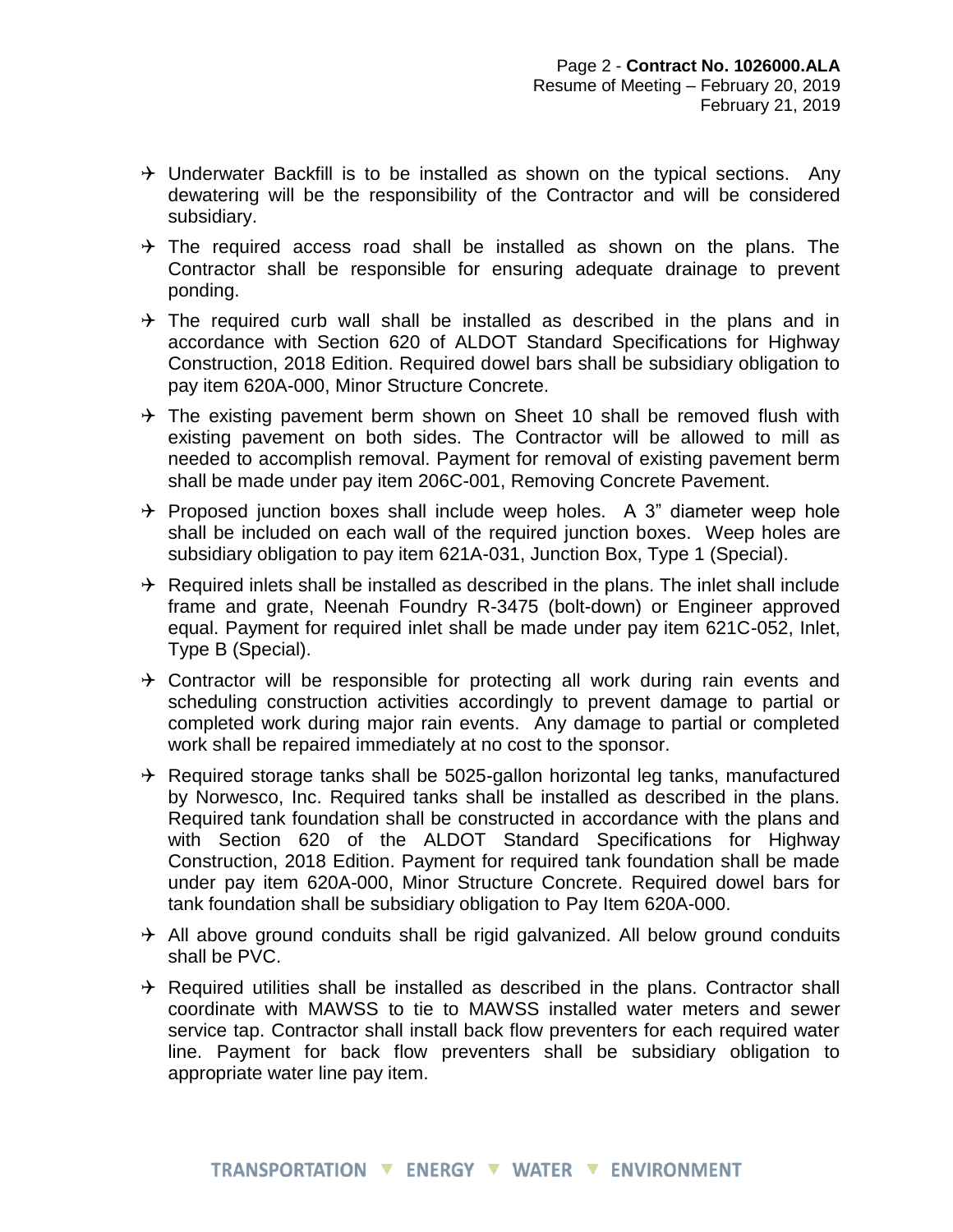- $\rightarrow$  Underwater Backfill is to be installed as shown on the typical sections. Any dewatering will be the responsibility of the Contractor and will be considered subsidiary.
- $\rightarrow$  The required access road shall be installed as shown on the plans. The Contractor shall be responsible for ensuring adequate drainage to prevent ponding.
- $\rightarrow$  The required curb wall shall be installed as described in the plans and in accordance with Section 620 of ALDOT Standard Specifications for Highway Construction, 2018 Edition. Required dowel bars shall be subsidiary obligation to pay item 620A-000, Minor Structure Concrete.
- $\rightarrow$  The existing pavement berm shown on Sheet 10 shall be removed flush with existing pavement on both sides. The Contractor will be allowed to mill as needed to accomplish removal. Payment for removal of existing pavement berm shall be made under pay item 206C-001, Removing Concrete Pavement.
- $\rightarrow$  Proposed junction boxes shall include weep holes. A 3" diameter weep hole shall be included on each wall of the required junction boxes. Weep holes are subsidiary obligation to pay item 621A-031, Junction Box, Type 1 (Special).
- $\rightarrow$  Required inlets shall be installed as described in the plans. The inlet shall include frame and grate, Neenah Foundry R-3475 (bolt-down) or Engineer approved equal. Payment for required inlet shall be made under pay item 621C-052, Inlet, Type B (Special).
- $\rightarrow$  Contractor will be responsible for protecting all work during rain events and scheduling construction activities accordingly to prevent damage to partial or completed work during major rain events. Any damage to partial or completed work shall be repaired immediately at no cost to the sponsor.
- $\rightarrow$  Required storage tanks shall be 5025-gallon horizontal leg tanks, manufactured by Norwesco, Inc. Required tanks shall be installed as described in the plans. Required tank foundation shall be constructed in accordance with the plans and with Section 620 of the ALDOT Standard Specifications for Highway Construction, 2018 Edition. Payment for required tank foundation shall be made under pay item 620A-000, Minor Structure Concrete. Required dowel bars for tank foundation shall be subsidiary obligation to Pay Item 620A-000.
- $\rightarrow$  All above ground conduits shall be rigid galvanized. All below ground conduits shall be PVC.
- $\rightarrow$  Required utilities shall be installed as described in the plans. Contractor shall coordinate with MAWSS to tie to MAWSS installed water meters and sewer service tap. Contractor shall install back flow preventers for each required water line. Payment for back flow preventers shall be subsidiary obligation to appropriate water line pay item.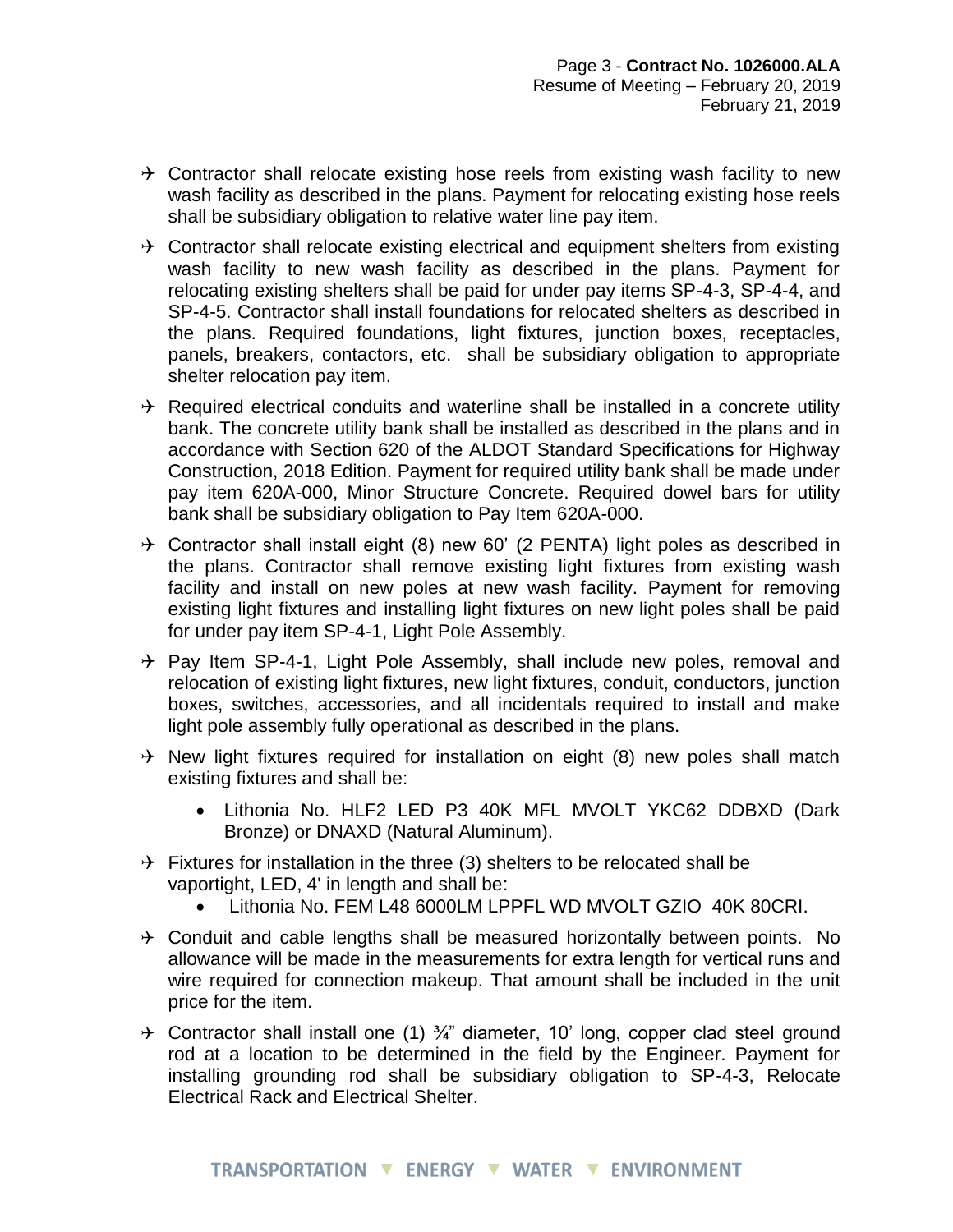- $\rightarrow$  Contractor shall relocate existing hose reels from existing wash facility to new wash facility as described in the plans. Payment for relocating existing hose reels shall be subsidiary obligation to relative water line pay item.
- $\rightarrow$  Contractor shall relocate existing electrical and equipment shelters from existing wash facility to new wash facility as described in the plans. Payment for relocating existing shelters shall be paid for under pay items SP-4-3, SP-4-4, and SP-4-5. Contractor shall install foundations for relocated shelters as described in the plans. Required foundations, light fixtures, junction boxes, receptacles, panels, breakers, contactors, etc. shall be subsidiary obligation to appropriate shelter relocation pay item.
- $\rightarrow$  Required electrical conduits and waterline shall be installed in a concrete utility bank. The concrete utility bank shall be installed as described in the plans and in accordance with Section 620 of the ALDOT Standard Specifications for Highway Construction, 2018 Edition. Payment for required utility bank shall be made under pay item 620A-000, Minor Structure Concrete. Required dowel bars for utility bank shall be subsidiary obligation to Pay Item 620A-000.
- $\rightarrow$  Contractor shall install eight (8) new 60' (2 PENTA) light poles as described in the plans. Contractor shall remove existing light fixtures from existing wash facility and install on new poles at new wash facility. Payment for removing existing light fixtures and installing light fixtures on new light poles shall be paid for under pay item SP-4-1, Light Pole Assembly.
- $\rightarrow$  Pay Item SP-4-1, Light Pole Assembly, shall include new poles, removal and relocation of existing light fixtures, new light fixtures, conduit, conductors, junction boxes, switches, accessories, and all incidentals required to install and make light pole assembly fully operational as described in the plans.
- $\rightarrow$  New light fixtures required for installation on eight (8) new poles shall match existing fixtures and shall be:
	- Lithonia No. HLF2 LED P3 40K MFL MVOLT YKC62 DDBXD (Dark Bronze) or DNAXD (Natural Aluminum).
- $\rightarrow$  Fixtures for installation in the three (3) shelters to be relocated shall be vaportight, LED, 4' in length and shall be:
	- Lithonia No. FEM L48 6000LM LPPFL WD MVOLT GZIO 40K 80CRI.
- $\rightarrow$  Conduit and cable lengths shall be measured horizontally between points. No allowance will be made in the measurements for extra length for vertical runs and wire required for connection makeup. That amount shall be included in the unit price for the item.
- $\div$  Contractor shall install one (1)  $\frac{3}{4}$ " diameter, 10' long, copper clad steel ground rod at a location to be determined in the field by the Engineer. Payment for installing grounding rod shall be subsidiary obligation to SP-4-3, Relocate Electrical Rack and Electrical Shelter.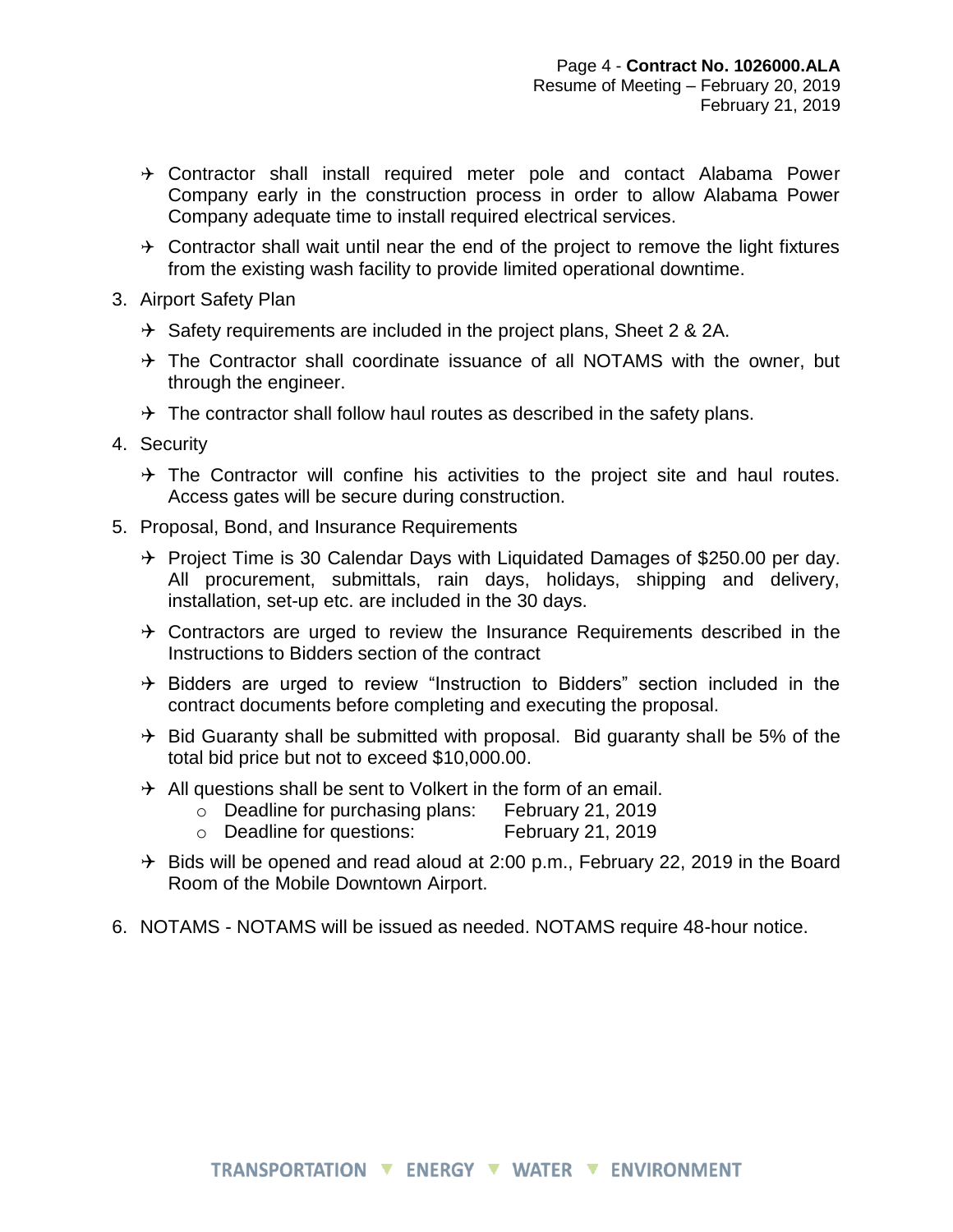- $\rightarrow$  Contractor shall install required meter pole and contact Alabama Power Company early in the construction process in order to allow Alabama Power Company adequate time to install required electrical services.
- $\rightarrow$  Contractor shall wait until near the end of the project to remove the light fixtures from the existing wash facility to provide limited operational downtime.
- 3. Airport Safety Plan
	- $\rightarrow$  Safety requirements are included in the project plans, Sheet 2 & 2A.
	- $\rightarrow$  The Contractor shall coordinate issuance of all NOTAMS with the owner, but through the engineer.
	- $\rightarrow$  The contractor shall follow haul routes as described in the safety plans.
- 4. Security
	- $\rightarrow$  The Contractor will confine his activities to the project site and haul routes. Access gates will be secure during construction.
- 5. Proposal, Bond, and Insurance Requirements
	- $\rightarrow$  Project Time is 30 Calendar Days with Liquidated Damages of \$250.00 per day. All procurement, submittals, rain days, holidays, shipping and delivery, installation, set-up etc. are included in the 30 days.
	- $\rightarrow$  Contractors are urged to review the Insurance Requirements described in the Instructions to Bidders section of the contract
	- $\rightarrow$  Bidders are urged to review "Instruction to Bidders" section included in the contract documents before completing and executing the proposal.
	- $\rightarrow$  Bid Guaranty shall be submitted with proposal. Bid guaranty shall be 5% of the total bid price but not to exceed \$10,000.00.
	- $\rightarrow$  All questions shall be sent to Volkert in the form of an email.
		- o Deadline for purchasing plans: February 21, 2019
		- o Deadline for questions: February 21, 2019
	- $\rightarrow$  Bids will be opened and read aloud at 2:00 p.m., February 22, 2019 in the Board Room of the Mobile Downtown Airport.
- 6. NOTAMS NOTAMS will be issued as needed. NOTAMS require 48-hour notice.